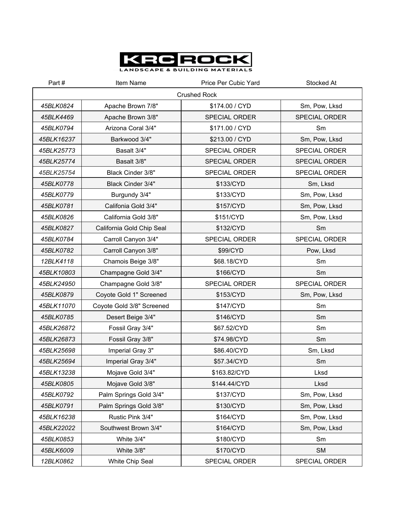

| Part#               | Item Name                 | Price Per Cubic Yard | Stocked At           |  |
|---------------------|---------------------------|----------------------|----------------------|--|
| <b>Crushed Rock</b> |                           |                      |                      |  |
| 45BLK0824           | Apache Brown 7/8"         | \$174.00 / CYD       | Sm, Pow, Lksd        |  |
| 45BLK4469           | Apache Brown 3/8"         | <b>SPECIAL ORDER</b> | SPECIAL ORDER        |  |
| 45BLK0794           | Arizona Coral 3/4"        | \$171.00 / CYD       | Sm                   |  |
| 45BLK16237          | Barkwood 3/4"             | \$213.00 / CYD       | Sm, Pow, Lksd        |  |
| 45BLK25773          | Basalt 3/4"               | SPECIAL ORDER        | SPECIAL ORDER        |  |
| 45BLK25774          | Basalt 3/8"               | <b>SPECIAL ORDER</b> | <b>SPECIAL ORDER</b> |  |
| 45BLK25754          | Black Cinder 3/8"         | SPECIAL ORDER        | SPECIAL ORDER        |  |
| 45BLK0778           | Black Cinder 3/4"         | \$133/CYD            | Sm, Lksd             |  |
| 45BLK0779           | Burgundy 3/4"             | \$133/CYD            | Sm, Pow, Lksd        |  |
| 45BLK0781           | Califonia Gold 3/4"       | \$157/CYD            | Sm, Pow, Lksd        |  |
| 45BLK0826           | California Gold 3/8"      | \$151/CYD            | Sm, Pow, Lksd        |  |
| 45BLK0827           | California Gold Chip Seal | \$132/CYD            | Sm                   |  |
| 45BLK0784           | Carroll Canyon 3/4"       | SPECIAL ORDER        | SPECIAL ORDER        |  |
| 45BLK0782           | Carroll Canyon 3/8"       | \$99/CYD             | Pow, Lksd            |  |
| 12BLK4118           | Chamois Beige 3/8"        | \$68.18/CYD          | Sm                   |  |
| 45BLK10803          | Champagne Gold 3/4"       | \$166/CYD            | Sm                   |  |
| 45BLK24950          | Champagne Gold 3/8"       | SPECIAL ORDER        | SPECIAL ORDER        |  |
| 45BLK0879           | Coyote Gold 1" Screened   | \$153/CYD            | Sm, Pow, Lksd        |  |
| 45BLK11070          | Coyote Gold 3/8" Screened | \$147/CYD            | Sm                   |  |
| 45BLK0785           | Desert Beige 3/4"         | \$146/CYD            | Sm                   |  |
| 45BLK26872          | Fossil Gray 3/4"          | \$67.52/CYD          | Sm                   |  |
| 45BLK26873          | Fossil Gray 3/8"          | \$74.98/CYD          | Sm                   |  |
| 45BLK25698          | Imperial Gray 3"          | \$86.40/CYD          | Sm, Lksd             |  |
| 45BLK25694          | Imperial Gray 3/4"        | \$57.34/CYD          | Sm                   |  |
| 45BLK13238          | Mojave Gold 3/4"          | \$163.82/CYD         | Lksd                 |  |
| 45BLK0805           | Mojave Gold 3/8"          | \$144.44/CYD         | Lksd                 |  |
| 45BLK0792           | Palm Springs Gold 3/4"    | \$137/CYD            | Sm, Pow, Lksd        |  |
| 45BLK0791           | Palm Springs Gold 3/8"    | \$130/CYD            | Sm, Pow, Lksd        |  |
| 45BLK16238          | Rustic Pink 3/4"          | \$164/CYD            | Sm, Pow, Lksd        |  |
| 45BLK22022          | Southwest Brown 3/4"      | \$164/CYD            | Sm, Pow, Lksd        |  |
| 45BLK0853           | White 3/4"                | \$180/CYD            | Sm                   |  |
| 45BLK6009           | White 3/8"                | \$170/CYD            | <b>SM</b>            |  |
| 12BLK0862           | White Chip Seal           | SPECIAL ORDER        | SPECIAL ORDER        |  |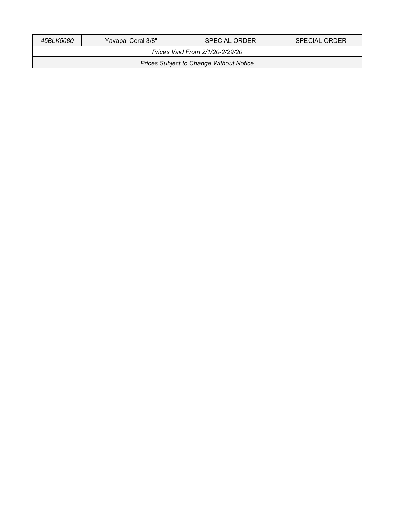| 45BLK5080                                      | Yavapai Coral 3/8" | <b>SPECIAL ORDER</b> | <b>SPECIAL ORDER</b> |  |
|------------------------------------------------|--------------------|----------------------|----------------------|--|
| Prices Vaid From 2/1/20-2/29/20                |                    |                      |                      |  |
| <b>Prices Subject to Change Without Notice</b> |                    |                      |                      |  |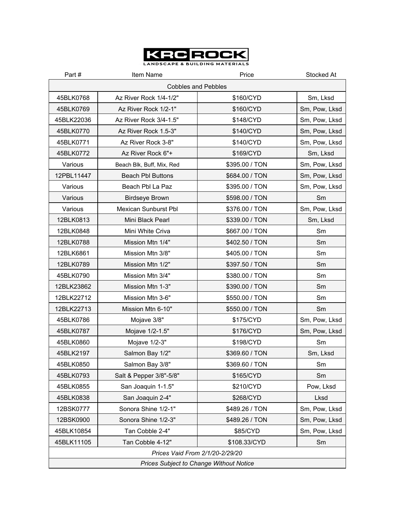

LANDSCAPE & BUILDING MATERIALS

| Part#                                          | Item Name                   | Price          | Stocked At    |
|------------------------------------------------|-----------------------------|----------------|---------------|
| <b>Cobbles and Pebbles</b>                     |                             |                |               |
| 45BLK0768                                      | Az River Rock 1/4-1/2"      | \$160/CYD      | Sm, Lksd      |
| 45BLK0769                                      | Az River Rock 1/2-1"        | \$160/CYD      | Sm, Pow, Lksd |
| 45BLK22036                                     | Az River Rock 3/4-1.5"      | \$148/CYD      | Sm, Pow, Lksd |
| 45BLK0770                                      | Az River Rock 1.5-3"        | \$140/CYD      | Sm, Pow, Lksd |
| 45BLK0771                                      | Az River Rock 3-8"          | \$140/CYD      | Sm, Pow, Lksd |
| 45BLK0772                                      | Az River Rock 6"+           | \$169/CYD      | Sm, Lksd      |
| Various                                        | Beach Blk, Buff, Mix, Red   | \$395.00 / TON | Sm, Pow, Lksd |
| 12PBL11447                                     | <b>Beach Pbl Buttons</b>    | \$684.00 / TON | Sm, Pow, Lksd |
| Various                                        | Beach Pbl La Paz            | \$395.00 / TON | Sm, Pow, Lksd |
| Various                                        | <b>Birdseye Brown</b>       | \$598.00 / TON | Sm            |
| Various                                        | <b>Mexican Sunburst Pbl</b> | \$376.00 / TON | Sm, Pow, Lksd |
| 12BLK0813                                      | Mini Black Pearl            | \$339.00 / TON | Sm, Lksd      |
| 12BLK0848                                      | Mini White Criva            | \$667.00 / TON | Sm            |
| 12BLK0788                                      | Mission Mtn 1/4"            | \$402.50 / TON | Sm            |
| 12BLK6861                                      | Mission Mtn 3/8"            | \$405.00 / TON | Sm            |
| 12BLK0789                                      | Mission Mtn 1/2"            | \$397.50 / TON | Sm            |
| 45BLK0790                                      | Mission Mtn 3/4"            | \$380.00 / TON | Sm            |
| 12BLK23862                                     | Mission Mtn 1-3"            | \$390.00 / TON | Sm            |
| 12BLK22712                                     | Mission Mtn 3-6"            | \$550.00 / TON | Sm            |
| 12BLK22713                                     | Mission Mtn 6-10"           | \$550.00 / TON | Sm            |
| 45BLK0786                                      | Mojave 3/8"                 | \$175/CYD      | Sm, Pow, Lksd |
| 45BLK0787                                      | Mojave 1/2-1.5"             | \$176/CYD      | Sm, Pow, Lksd |
| 45BLK0860                                      | Mojave 1/2-3"               | \$198/CYD      | Sm            |
| 45BLK2197                                      | Salmon Bay 1/2"             | \$369.60 / TON | Sm, Lksd      |
| 45BLK0850                                      | Salmon Bay 3/8"             | \$369.60 / TON | Sm            |
| 45BLK0793                                      | Salt & Pepper 3/8"-5/8"     | \$165/CYD      | Sm            |
| 45BLK0855                                      | San Joaquin 1-1.5"          | \$210/CYD      | Pow, Lksd     |
| 45BLK0838                                      | San Joaquin 2-4"            | \$268/CYD      | Lksd          |
| 12BSK0777                                      | Sonora Shine 1/2-1"         | \$489.26 / TON | Sm, Pow, Lksd |
| 12BSK0900                                      | Sonora Shine 1/2-3"         | \$489.26 / TON | Sm, Pow, Lksd |
| 45BLK10854                                     | Tan Cobble 2-4"             | \$85/CYD       | Sm, Pow, Lksd |
| 45BLK11105                                     | Tan Cobble 4-12"            | \$108.33/CYD   | Sm            |
| Prices Vaid From 2/1/20-2/29/20                |                             |                |               |
| <b>Prices Subject to Change Without Notice</b> |                             |                |               |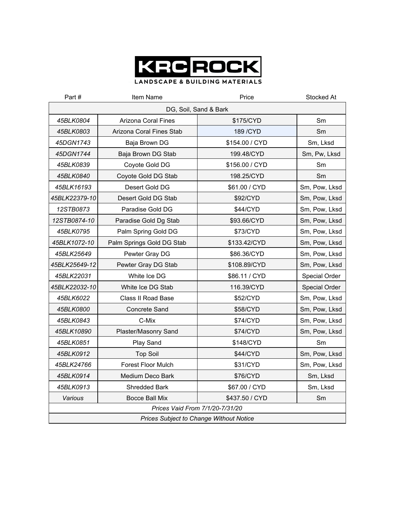

| Part#                                          | Item Name                 | Price          | Stocked At    |
|------------------------------------------------|---------------------------|----------------|---------------|
| DG, Soil, Sand & Bark                          |                           |                |               |
| 45BLK0804                                      | Arizona Coral Fines       | \$175/CYD      | Sm            |
| 45BLK0803                                      | Arizona Coral Fines Stab  | 189 / CYD      | Sm            |
| 45DGN1743                                      | Baja Brown DG             | \$154.00 / CYD | Sm, Lksd      |
| 45DGN1744                                      | Baja Brown DG Stab        | 199.48/CYD     | Sm, Pw, Lksd  |
| 45BLK0839                                      | Coyote Gold DG            | \$156.00 / CYD | Sm            |
| 45BLK0840                                      | Coyote Gold DG Stab       | 198.25/CYD     | Sm            |
| 45BLK16193                                     | Desert Gold DG            | \$61.00 / CYD  | Sm, Pow, Lksd |
| 45BLK22379-10                                  | Desert Gold DG Stab       | \$92/CYD       | Sm, Pow, Lksd |
| 12STB0873                                      | Paradise Gold DG          | \$44/CYD       | Sm, Pow, Lksd |
| 12STB0874-10                                   | Paradise Gold Dg Stab     | \$93.66/CYD    | Sm, Pow, Lksd |
| 45BLK0795                                      | Palm Spring Gold DG       | \$73/CYD       | Sm, Pow, Lksd |
| 45BLK1072-10                                   | Palm Springs Gold DG Stab | \$133.42/CYD   | Sm, Pow, Lksd |
| 45BLK25649                                     | Pewter Gray DG            | \$86.36/CYD    | Sm, Pow, Lksd |
| 45BLK25649-12                                  | Pewter Gray DG Stab       | \$108.89/CYD   | Sm, Pow, Lksd |
| 45BLK22031                                     | White Ice DG              | \$86.11 / CYD  | Special Order |
| 45BLK22032-10                                  | White Ice DG Stab         | 116.39/CYD     | Special Order |
| 45BLK6022                                      | <b>Class II Road Base</b> | \$52/CYD       | Sm, Pow, Lksd |
| 45BLK0800                                      | <b>Concrete Sand</b>      | \$58/CYD       | Sm, Pow, Lksd |
| 45BLK0843                                      | C-Mix                     | \$74/CYD       | Sm, Pow, Lksd |
| 45BLK10890                                     | Plaster/Masonry Sand      | \$74/CYD       | Sm, Pow, Lksd |
| 45BLK0851                                      | Play Sand                 | \$148/CYD      | Sm            |
| 45BLK0912                                      | <b>Top Soil</b>           | \$44/CYD       | Sm, Pow, Lksd |
| 45BLK24766                                     | <b>Forest Floor Mulch</b> | \$31/CYD       | Sm, Pow, Lksd |
| 45BLK0914                                      | Medium Deco Bark          | \$76/CYD       | Sm, Lksd      |
| 45BLK0913                                      | <b>Shredded Bark</b>      | \$67.00 / CYD  | Sm, Lksd      |
| Various                                        | Bocce Ball Mix            | \$437.50 / CYD | Sm            |
| Prices Vaid From 7/1/20-7/31/20                |                           |                |               |
| <b>Prices Subject to Change Without Notice</b> |                           |                |               |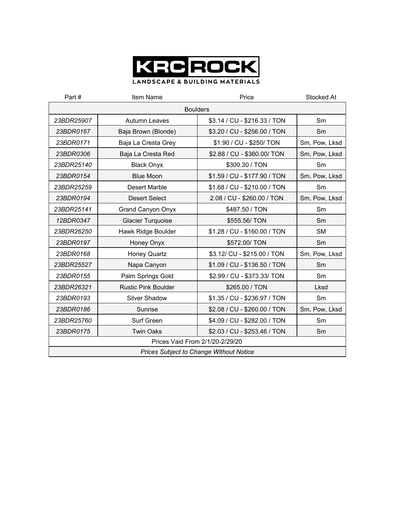

| Part#                                          | Item Name                  | Price                        | Stocked At     |
|------------------------------------------------|----------------------------|------------------------------|----------------|
| <b>Boulders</b>                                |                            |                              |                |
| 23BDR25907                                     | Autumn Leaves              | \$3.14 / CU - \$216.33 / TON | Sm             |
| 23BDR0167                                      | Baja Brown (Blonde)        | \$3.20 / CU - \$256.00 / TON | S <sub>m</sub> |
| 23BDR0171                                      | Baja La Cresta Grey        | \$1.90 / CU - \$250/ TON     | Sm, Pow, Lksd  |
| 23BDR0306                                      | Baja La Cresta Red         | \$2.88 / CU - \$360.00/ TON  | Sm, Pow, Lksd  |
| 23BDR25140                                     | <b>Black Onyx</b>          | \$300.30 / TON               | Sm             |
| 23BDR0154                                      | <b>Blue Moon</b>           | \$1.59 / CU - \$177.90 / TON | Sm, Pow, Lksd  |
| 23BDR25259                                     | <b>Desert Marble</b>       | \$1.68 / CU - \$210.00 / TON | Sm             |
| 23BDR0194                                      | <b>Desert Select</b>       | 2.08 / CU - \$260.00 / TON   | Sm, Pow, Lksd  |
| 23BDR25141                                     | Grand Canyon Onyx          | \$487.50 / TON               | Sm             |
| 12BDR0347                                      | <b>Glacier Turquoise</b>   | \$555.56/ TON                | Sm             |
| 23BDR26250                                     | Hawk Ridge Boulder         | \$1.28 / CU - \$160.00 / TON | <b>SM</b>      |
| 23BDR0197                                      | Honey Onyx                 | \$572.00/ TON                | Sm             |
| 23BDR0168                                      | <b>Honey Quartz</b>        | \$3.12/ CU - \$215.00 / TON  | Sm, Pow, Lksd  |
| 23BDR25527                                     | Napa Canyon                | \$1.09 / CU - \$136.50 / TON | Sm             |
| 23BDR0155                                      | Palm Springs Gold          | \$2.99 / CU - \$373.33/ TON  | Sm             |
| 23BDR26321                                     | <b>Rustic Pink Boulder</b> | \$265.00 / TON               | Lksd           |
| 23BDR0193                                      | <b>Silver Shadow</b>       | \$1.35 / CU - \$236.97 / TON | Sm             |
| 23BDR0186                                      | Sunrise                    | \$2.08 / CU - \$260.00 / TON | Sm, Pow, Lksd  |
| 23BDR25760                                     | Surf Green                 | \$4.09 / CU - \$282.00 / TON | Sm             |
| 23BDR0175                                      | <b>Twin Oaks</b>           | \$2.03 / CU - \$253.46 / TON | Sm             |
| Prices Vaid From 2/1/20-2/29/20                |                            |                              |                |
| <b>Prices Subject to Change Without Notice</b> |                            |                              |                |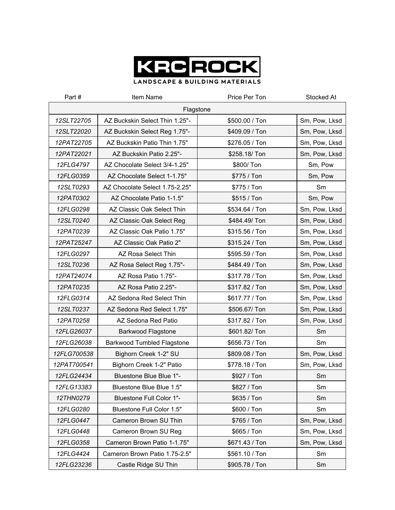

| Part#       | Item Name                      | Price Per Ton  | Stocked At    |
|-------------|--------------------------------|----------------|---------------|
| Flagstone   |                                |                |               |
| 12SLT22705  | AZ Buckskin Select Thin 1.25"- | \$500.00 / Ton | Sm, Pow, Lksd |
| 12SLT22020  | AZ Buckskin Select Reg 1.75"-  | \$409.09 / Ton | Sm, Pow, Lksd |
| 12PAT22705  | AZ Buckskin Patio Thin 1.75"   | \$276.05 / Ton | Sm, Pow, Lksd |
| 12PAT22021  | AZ Buckskin Patio 2.25"-       | \$258.18/ Ton  | Sm, Pow, Lksd |
| 12FLG4797   | AZ Chocolate Select 3/4-1.25"  | \$800/ Ton     | Sm, Pow       |
| 12FLG0359   | AZ Chocolate Select 1-1.75"    | \$775 / Ton    | Sm, Pow       |
| 12SLT0293   | AZ Chocolate Select 1.75-2.25" | \$775 / Ton    | Sm            |
| 12PAT0302   | AZ Chocolate Patio 1-1.5"      | \$515 / Ton    | Sm, Pow       |
| 12FLG0298   | AZ Classic Oak Select Thin     | \$534.64 / Ton | Sm, Pow, Lksd |
| 12SLT0240   | AZ Classic Oak Select Reg      | \$484.49/ Ton  | Sm, Pow, Lksd |
| 12PAT0239   | AZ Classic Oak Patio 1.75"     | \$315.56 / Ton | Sm, Pow, Lksd |
| 12PAT25247  | AZ Classic Oak Patio 2"        | \$315.24 / Ton | Sm, Pow, Lksd |
| 12FLG0297   | AZ Rosa Select Thin            | \$595.59 / Ton | Sm, Pow, Lksd |
| 12SLT0236   | AZ Rosa Select Reg 1.75"-      | \$484.49 / Ton | Sm, Pow, Lksd |
| 12PAT24074  | AZ Rosa Patio 1.75"-           | \$317.78 / Ton | Sm, Pow, Lksd |
| 12PAT0235   | AZ Rosa Patio 2.25"-           | \$317.82 / Ton | Sm, Pow, Lksd |
| 12FLG0314   | AZ Sedona Red Select Thin      | \$617.77 / Ton | Sm, Pow, Lksd |
| 12SLT0237   | AZ Sedona Red Select 1.75"     | \$506.67/ Ton  | Sm, Pow, Lksd |
| 12PAT0258   | AZ Sedona Red Patio            | \$317.82 / Ton | Sm, Pow, Lksd |
| 12FLG26037  | Barkwood Flagstone             | \$601.82/ Ton  | Sm            |
| 12FLG26038  | Barkwood Tumbled Flagstone     | \$656.73 / Ton | Sm            |
| 12FLG700538 | Bighorn Creek 1-2" SU          | \$809.08 / Ton | Sm, Pow, Lksd |
| 12PAT700541 | Bighorn Creek 1-2" Patio       | \$778.18 / Ton | Sm, Pow, Lksd |
| 12FLG24434  | Bluestone Blue Blue 1"-        | \$927 / Ton    | Sm            |
| 12FLG13383  | Bluestone Blue Blue 1.5"       | \$827 / Ton    | Sm            |
| 12THN0279   | Bluestone Full Color 1"-       | \$635 / Ton    | Sm            |
| 12FLG0280   | Bluestone Full Color 1.5"      | \$600 / Ton    | Sm            |
| 12FLG0447   | Cameron Brown SU Thin          | \$765 / Ton    | Sm, Pow, Lksd |
| 12FLG0448   | Cameron Brown SU Reg           | \$665 / Ton    | Sm, Pow, Lksd |
| 12FLG0358   | Cameron Brown Patio 1-1.75"    | \$671.43 / Ton | Sm, Pow, Lksd |
| 12FLG4424   | Cameron Brown Patio 1.75-2.5"  | \$561.10 / Ton | Sm            |
| 12FLG23236  | Castle Ridge SU Thin           | \$905.78 / Ton | Sm            |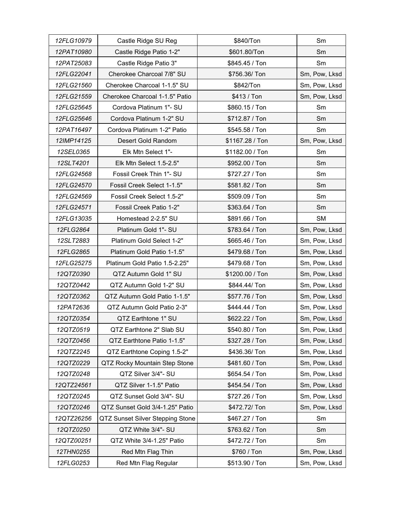| 12FLG10979 | Castle Ridge SU Reg              | \$840/Ton       | Sm            |
|------------|----------------------------------|-----------------|---------------|
| 12PAT10980 | Castle Ridge Patio 1-2"          | \$601.80/Ton    | Sm            |
| 12PAT25083 | Castle Ridge Patio 3"            | \$845.45 / Ton  | Sm            |
| 12FLG22041 | Cherokee Charcoal 7/8" SU        | \$756.36/ Ton   | Sm, Pow, Lksd |
| 12FLG21560 | Cherokee Charcoal 1-1.5" SU      | \$842/Ton       | Sm, Pow, Lksd |
| 12FLG21559 | Cherokee Charcoal 1-1.5" Patio   | \$413 / Ton     | Sm, Pow, Lksd |
| 12FLG25645 | Cordova Platinum 1"- SU          | \$860.15 / Ton  | Sm            |
| 12FLG25646 | Cordova Platinum 1-2" SU         | \$712.87 / Ton  | Sm            |
| 12PAT16497 | Cordova Platinum 1-2" Patio      | \$545.58 / Ton  | Sm            |
| 12IMP14125 | Desert Gold Random               | \$1167.28 / Ton | Sm, Pow, Lksd |
| 12SEL0365  | Elk Mtn Select 1"-               | \$1182.00 / Ton | Sm            |
| 12SLT4201  | Elk Mtn Select 1.5-2.5"          | \$952.00 / Ton  | Sm            |
| 12FLG24568 | Fossil Creek Thin 1"- SU         | \$727.27 / Ton  | Sm            |
| 12FLG24570 | Fossil Creek Select 1-1.5"       | \$581.82 / Ton  | Sm            |
| 12FLG24569 | Fossil Creek Select 1.5-2"       | \$509.09 / Ton  | Sm            |
| 12FLG24571 | Fossil Creek Patio 1-2"          | \$363.64 / Ton  | Sm            |
| 12FLG13035 | Homestead 2-2.5" SU              | \$891.66 / Ton  | <b>SM</b>     |
| 12FLG2864  | Platinum Gold 1"- SU             | \$783.64 / Ton  | Sm, Pow, Lksd |
| 12SLT2883  | Platinum Gold Select 1-2"        | \$665.46 / Ton  | Sm, Pow, Lksd |
| 12FLG2865  | Platinum Gold Patio 1-1.5"       | \$479.68 / Ton  | Sm, Pow, Lksd |
| 12FLG25275 | Platinum Gold Patio 1.5-2.25"    | \$479.68 / Ton  | Sm, Pow, Lksd |
| 12QTZ0390  | QTZ Autumn Gold 1" SU            | \$1200.00 / Ton | Sm, Pow, Lksd |
| 12QTZ0442  | QTZ Autumn Gold 1-2" SU          | \$844.44/ Ton   | Sm, Pow, Lksd |
| 12QTZ0362  | QTZ Autumn Gold Patio 1-1.5"     | \$577.76 / Ton  | Sm, Pow, Lksd |
| 12PAT2636  | QTZ Autumn Gold Patio 2-3"       | \$444.44 / Ton  | Sm, Pow, Lksd |
| 12QTZ0354  | QTZ Earthtone 1" SU              | \$622.22 / Ton  | Sm, Pow, Lksd |
| 12QTZ0519  | QTZ Earthtone 2" Slab SU         | \$540.80 / Ton  | Sm, Pow, Lksd |
| 12QTZ0456  | QTZ Earthtone Patio 1-1.5"       | \$327.28 / Ton  | Sm, Pow, Lksd |
| 12QTZ2245  | QTZ Earthtone Coping 1.5-2"      | \$436.36/ Ton   | Sm, Pow, Lksd |
| 12QTZ0229  | QTZ Rocky Mountain Step Stone    | \$481.60 / Ton  | Sm, Pow, Lksd |
| 12QTZ0248  | QTZ Silver 3/4"- SU              | \$654.54 / Ton  | Sm, Pow, Lksd |
| 12QTZ24561 | QTZ Silver 1-1.5" Patio          | \$454.54 / Ton  | Sm, Pow, Lksd |
| 12QTZ0245  | QTZ Sunset Gold 3/4"- SU         | \$727.26 / Ton  | Sm, Pow, Lksd |
| 12QTZ0246  | QTZ Sunset Gold 3/4-1.25" Patio  | \$472.72/ Ton   | Sm, Pow, Lksd |
| 12QTZ26256 | QTZ Sunset Silver Stepping Stone | \$467.27 / Ton  | Sm            |
| 12QTZ0250  | QTZ White 3/4"- SU               | \$763.62 / Ton  | Sm            |
| 12QTZ00251 | QTZ White 3/4-1.25" Patio        | \$472.72 / Ton  | Sm            |
| 12THN0255  | Red Mtn Flag Thin                | \$760 / Ton     | Sm, Pow, Lksd |
| 12FLG0253  | Red Mtn Flag Regular             | \$513.90 / Ton  | Sm, Pow, Lksd |